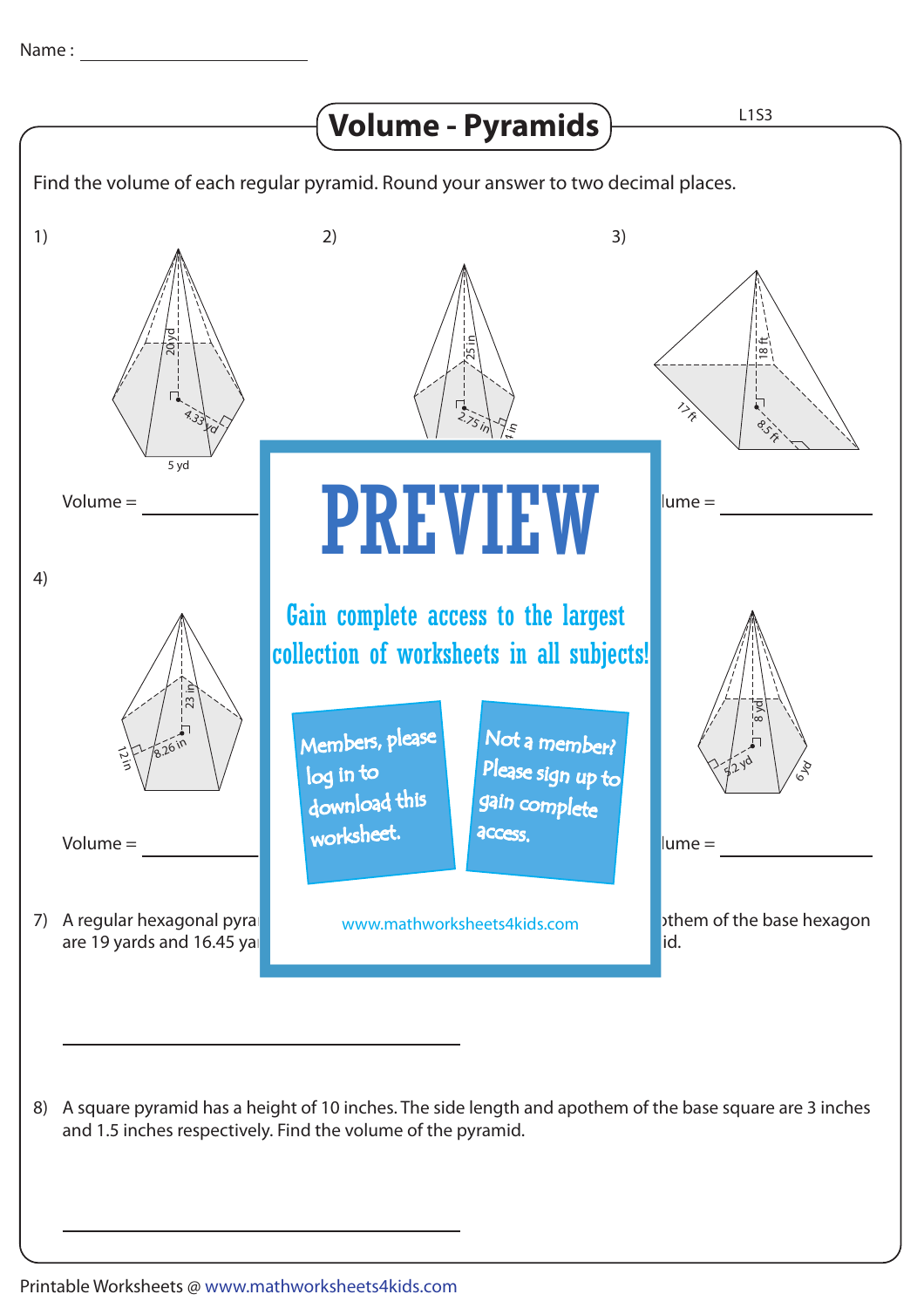